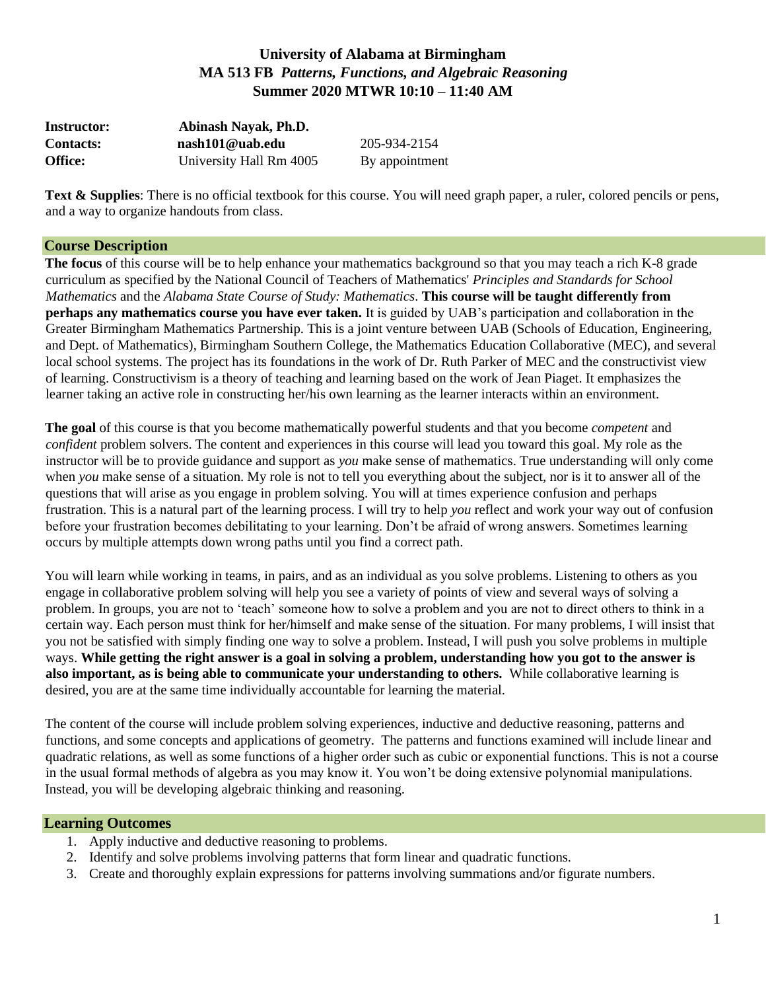# **University of Alabama at Birmingham MA 513 FB** *Patterns, Functions, and Algebraic Reasoning* **Summer 2020 MTWR 10:10 – 11:40 AM**

| <b>Instructor:</b> | Abinash Nayak, Ph.D.    |                |  |
|--------------------|-------------------------|----------------|--|
| <b>Contacts:</b>   | nash101@uab.edu         | 205-934-2154   |  |
| <b>Office:</b>     | University Hall Rm 4005 | By appointment |  |

**Text & Supplies**: There is no official textbook for this course. You will need graph paper, a ruler, colored pencils or pens, and a way to organize handouts from class.

#### **Course Description**

**The focus** of this course will be to help enhance your mathematics background so that you may teach a rich K-8 grade curriculum as specified by the National Council of Teachers of Mathematics' *Principles and Standards for School Mathematics* and the *Alabama State Course of Study: Mathematics*. **This course will be taught differently from perhaps any mathematics course you have ever taken.** It is guided by UAB's participation and collaboration in the Greater Birmingham Mathematics Partnership. This is a joint venture between UAB (Schools of Education, Engineering, and Dept. of Mathematics), Birmingham Southern College, the Mathematics Education Collaborative (MEC), and several local school systems. The project has its foundations in the work of Dr. Ruth Parker of MEC and the constructivist view of learning. Constructivism is a theory of teaching and learning based on the work of Jean Piaget. It emphasizes the learner taking an active role in constructing her/his own learning as the learner interacts within an environment.

**The goal** of this course is that you become mathematically powerful students and that you become *competent* and *confident* problem solvers. The content and experiences in this course will lead you toward this goal. My role as the instructor will be to provide guidance and support as *you* make sense of mathematics. True understanding will only come when *you* make sense of a situation. My role is not to tell you everything about the subject, nor is it to answer all of the questions that will arise as you engage in problem solving. You will at times experience confusion and perhaps frustration. This is a natural part of the learning process. I will try to help *you* reflect and work your way out of confusion before your frustration becomes debilitating to your learning. Don't be afraid of wrong answers. Sometimes learning occurs by multiple attempts down wrong paths until you find a correct path.

You will learn while working in teams, in pairs, and as an individual as you solve problems. Listening to others as you engage in collaborative problem solving will help you see a variety of points of view and several ways of solving a problem. In groups, you are not to 'teach' someone how to solve a problem and you are not to direct others to think in a certain way. Each person must think for her/himself and make sense of the situation. For many problems, I will insist that you not be satisfied with simply finding one way to solve a problem. Instead, I will push you solve problems in multiple ways. **While getting the right answer is a goal in solving a problem, understanding how you got to the answer is also important, as is being able to communicate your understanding to others.** While collaborative learning is desired, you are at the same time individually accountable for learning the material.

The content of the course will include problem solving experiences, inductive and deductive reasoning, patterns and functions, and some concepts and applications of geometry. The patterns and functions examined will include linear and quadratic relations, as well as some functions of a higher order such as cubic or exponential functions. This is not a course in the usual formal methods of algebra as you may know it. You won't be doing extensive polynomial manipulations. Instead, you will be developing algebraic thinking and reasoning.

#### **Learning Outcomes**

- 1. Apply inductive and deductive reasoning to problems.
- 2. Identify and solve problems involving patterns that form linear and quadratic functions.
- 3. Create and thoroughly explain expressions for patterns involving summations and/or figurate numbers.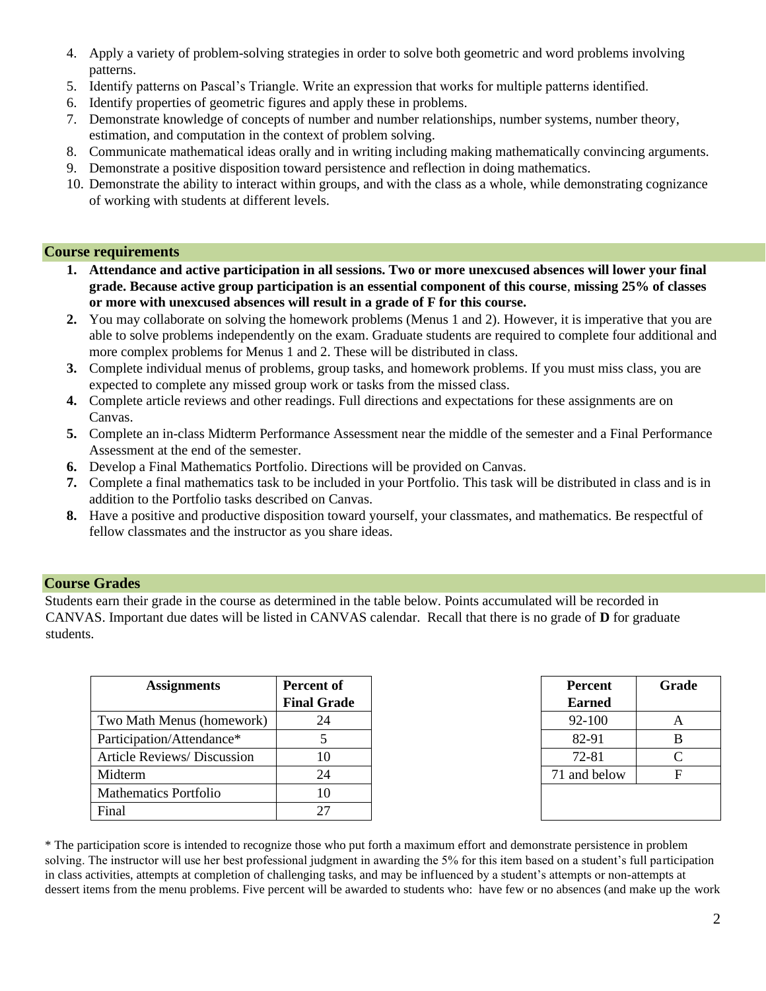- 4. Apply a variety of problem-solving strategies in order to solve both geometric and word problems involving patterns.
- 5. Identify patterns on Pascal's Triangle. Write an expression that works for multiple patterns identified.
- 6. Identify properties of geometric figures and apply these in problems.
- 7. Demonstrate knowledge of concepts of number and number relationships, number systems, number theory, estimation, and computation in the context of problem solving.
- 8. Communicate mathematical ideas orally and in writing including making mathematically convincing arguments.
- 9. Demonstrate a positive disposition toward persistence and reflection in doing mathematics.
- 10. Demonstrate the ability to interact within groups, and with the class as a whole, while demonstrating cognizance of working with students at different levels.

#### **Course requirements**

- **1. Attendance and active participation in all sessions. Two or more unexcused absences will lower your final grade. Because active group participation is an essential component of this course**, **missing 25% of classes or more with unexcused absences will result in a grade of F for this course.**
- **2.** You may collaborate on solving the homework problems (Menus 1 and 2). However, it is imperative that you are able to solve problems independently on the exam. Graduate students are required to complete four additional and more complex problems for Menus 1 and 2. These will be distributed in class.
- **3.** Complete individual menus of problems, group tasks, and homework problems. If you must miss class, you are expected to complete any missed group work or tasks from the missed class.
- **4.** Complete article reviews and other readings. Full directions and expectations for these assignments are on Canvas.
- **5.** Complete an in-class Midterm Performance Assessment near the middle of the semester and a Final Performance Assessment at the end of the semester.
- **6.** Develop a Final Mathematics Portfolio. Directions will be provided on Canvas.
- **7.** Complete a final mathematics task to be included in your Portfolio. This task will be distributed in class and is in addition to the Portfolio tasks described on Canvas.
- **8.** Have a positive and productive disposition toward yourself, your classmates, and mathematics. Be respectful of fellow classmates and the instructor as you share ideas.

#### **Course Grades**

Students earn their grade in the course as determined in the table below. Points accumulated will be recorded in CANVAS. Important due dates will be listed in CANVAS calendar. Recall that there is no grade of **D** for graduate students.

| <b>Assignments</b>           | Percent of         | Percent       | Grad         |
|------------------------------|--------------------|---------------|--------------|
|                              | <b>Final Grade</b> | <b>Earned</b> |              |
| Two Math Menus (homework)    | 24                 | 92-100        | A            |
| Participation/Attendance*    |                    | 82-91         | B            |
| Article Reviews/ Discussion  | 10                 | 72-81         | $\mathsf{C}$ |
| Midterm                      | 24                 | 71 and below  | F            |
| <b>Mathematics Portfolio</b> |                    |               |              |
| Final                        | 27                 |               |              |

| <b>Percent</b> | Grade |  |
|----------------|-------|--|
| <b>Earned</b>  |       |  |
| 92-100         | A     |  |
| 82-91          | B     |  |
| 72-81          | C     |  |
| 71 and below   | F     |  |
|                |       |  |
|                |       |  |

\* The participation score is intended to recognize those who put forth a maximum effort and demonstrate persistence in problem solving. The instructor will use her best professional judgment in awarding the 5% for this item based on a student's full participation in class activities, attempts at completion of challenging tasks, and may be influenced by a student's attempts or non-attempts at dessert items from the menu problems. Five percent will be awarded to students who: have few or no absences (and make up the work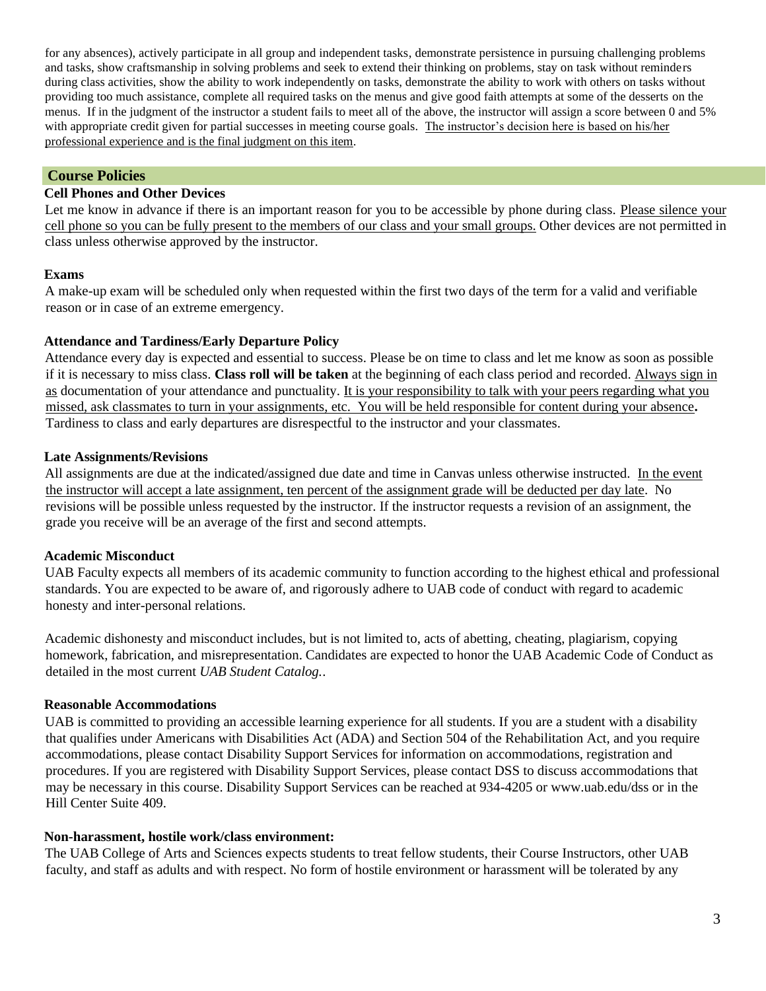for any absences), actively participate in all group and independent tasks, demonstrate persistence in pursuing challenging problems and tasks, show craftsmanship in solving problems and seek to extend their thinking on problems, stay on task without reminders during class activities, show the ability to work independently on tasks, demonstrate the ability to work with others on tasks without providing too much assistance, complete all required tasks on the menus and give good faith attempts at some of the desserts on the menus. If in the judgment of the instructor a student fails to meet all of the above, the instructor will assign a score between 0 and 5% with appropriate credit given for partial successes in meeting course goals. The instructor's decision here is based on his/her professional experience and is the final judgment on this item.

# **Course Policies**

## **Cell Phones and Other Devices**

Let me know in advance if there is an important reason for you to be accessible by phone during class. Please silence your cell phone so you can be fully present to the members of our class and your small groups. Other devices are not permitted in class unless otherwise approved by the instructor.

## **Exams**

A make-up exam will be scheduled only when requested within the first two days of the term for a valid and verifiable reason or in case of an extreme emergency.

## **Attendance and Tardiness/Early Departure Policy**

Attendance every day is expected and essential to success. Please be on time to class and let me know as soon as possible if it is necessary to miss class. **Class roll will be taken** at the beginning of each class period and recorded. Always sign in as documentation of your attendance and punctuality. It is your responsibility to talk with your peers regarding what you missed, ask classmates to turn in your assignments, etc. You will be held responsible for content during your absence**.**  Tardiness to class and early departures are disrespectful to the instructor and your classmates.

## **Late Assignments/Revisions**

All assignments are due at the indicated/assigned due date and time in Canvas unless otherwise instructed. In the event the instructor will accept a late assignment, ten percent of the assignment grade will be deducted per day late. No revisions will be possible unless requested by the instructor. If the instructor requests a revision of an assignment, the grade you receive will be an average of the first and second attempts.

# **Academic Misconduct**

UAB Faculty expects all members of its academic community to function according to the highest ethical and professional standards. You are expected to be aware of, and rigorously adhere to UAB code of conduct with regard to academic honesty and inter-personal relations.

Academic dishonesty and misconduct includes, but is not limited to, acts of abetting, cheating, plagiarism, copying homework, fabrication, and misrepresentation. Candidates are expected to honor the UAB Academic Code of Conduct as detailed in the most current *UAB Student Catalog.*.

# **Reasonable Accommodations**

UAB is committed to providing an accessible learning experience for all students. If you are a student with a disability that qualifies under Americans with Disabilities Act (ADA) and Section 504 of the Rehabilitation Act, and you require accommodations, please contact Disability Support Services for information on accommodations, registration and procedures. If you are registered with Disability Support Services, please contact DSS to discuss accommodations that may be necessary in this course. Disability Support Services can be reached at 934-4205 or www.uab.edu/dss or in the Hill Center Suite 409.

#### **Non-harassment, hostile work/class environment:**

The UAB College of Arts and Sciences expects students to treat fellow students, their Course Instructors, other UAB faculty, and staff as adults and with respect. No form of hostile environment or harassment will be tolerated by any